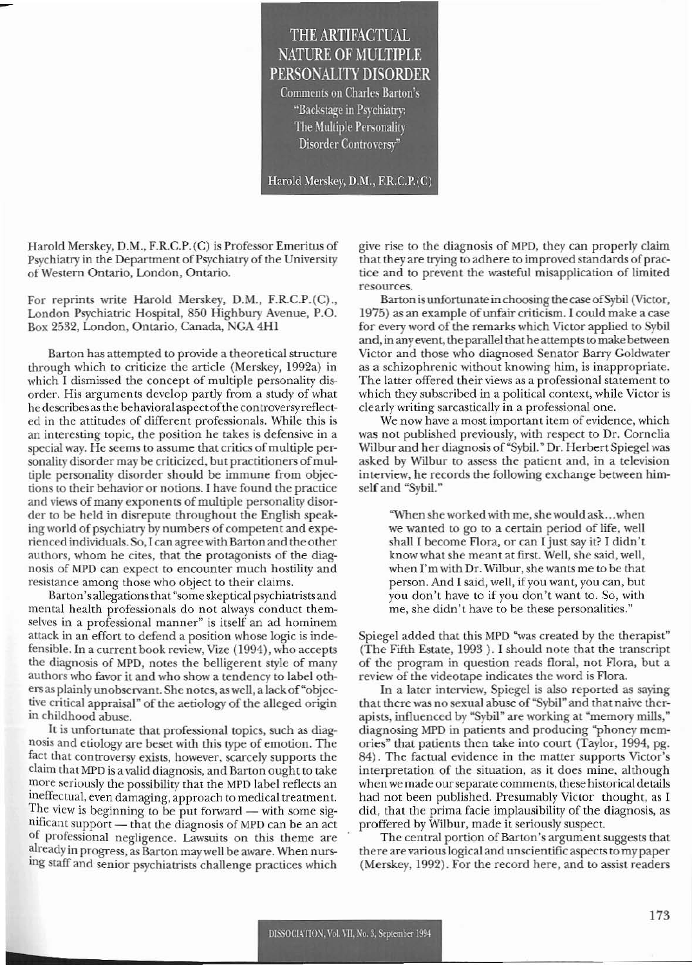THE ARTIFACTUAL NATURE OF MULTIPLE PERSONALITY DISORDER Comments on Charles Barton's "Backstage in Psychiatry: The Multiple Personality

Harold Merskey, D.M., F.R.C.P.(C)

Disorder Controversy"

Harold Merskey, D.M., F.R.C.P.(C) is Professor Emeritus of Psychiatry in the Department of Psychiatry of the University of Western Ontario, London, Ontario.

For reprints write Harold Merskey, D.M., F.R.C.P.(C)., London Psychiatric Hospital, 850 Highbury Avenue. P.O. Box 2532, London, Ontario, Canada, NGA 4Hl

Barton has attempted to provide a theoretical structure through which to criticize the article (Merskey, 1992a) in which I dismissed the concept of multiple personality disorder. His arguments develop partly from a study of what he describes as the behavioral aspect of the controversy reflected in the attitudes of different professionals. While this is an interesting topic, the position he takes is defensive in a special way. He seems to assume that critics of multiple personality disorder may be criticized, but practitioners of multiple personality disorder should be immune from objec· tions to their behavior or notions. I have found the practice and views of many exponents of multiple personality disorder to be held in disrepute throughout the Englisb speaking world of psychiatry by numbers of competent and experienced individuals. So, I can agree with Barton and the other authors, whom he cites, that the protagonists of the diagnosis of MPD can expect to encounter much hostility and resistance among those who object to their claims.

Barton's allegations that "some skeptical psychiatrists and mental health professionals do not always conduct themselves in a professional manner" is itself an ad hominem attack in an effort to defend a position whose logic is indefensible. In a current book review, Vize (1991). who accepts thc diagnosis of MPD, notes the belligerent style of many authors who favor it and who show a tendency to label others as plainly unobservant. She notes, as well, a lack of"objective critical appraisal" of the aetiology of the alleged origin in childhood abuse.

It is unfortunate that professional topics, such as diagnosis and etiology are beset with this type of emotion. The fact that controversy exists, however, scarcely supports the claim thatMPD is a valid diagnosis, and Barton ought to take more seriously the possibility that the MPD label reflects an melfectual, even damaging, approach to medical treatment. The view is beginning to be put forward — with some significant support - that the diagnosis of MPD can be an act of professional negligence. Lawsuits on this theme are already in progress, as Barton may well be aware. When nursing staff and senior psychiatrists challenge practices which

give rise to the diagnosis of MPD, they can properly claim that they are trying to adhere to improved standards of prae· tice and to prevent the wasteful misapplication of limited resources.

Barton is unfortunate in choosing the case ofSybil (Victor, 1975) as an example of unfair criticism. 1could make a case for every word of the remarks which Victor applied to Sybil and, in any event, the parallel that he attempts to make between Victor and those who diagnosed Senator Barry Goldwater as a schizophrenic without knowing him, is inappropriate. The latter offered their views as a professional statement to which they subscribed in a political context, while Victor is clearly writing sarcastically in a professional one.

We now have a most important item of evidence, which was not published previously, with respect to Dr. Cornelia Wilbur and her diagnosis of "Sybil." Dr. Herbert Spiegel was asked by Wilbur to assess the patient and, in a television interview, he records the following exchange between himself and "Sybil.

"When she worked with me,she would ask...when we wanted to go to a certain period of life, well shall I become Flora, or can I just say it? I didn't know what she meant at first. Well, she said, well, when I'm with Dr. Wilbur, she wants me to be that person. And I said, well, if you want, you can. but you don't have to if you don't want to. So, with me, she didn't have to be these personalities."

Spiegel added that this MPD "was created by the therapist" (The Fifth Estate. 1993).1 should note that the transcript of the program in question reads floral, not Flora, but a review of the videotape indicates the word is Flora.

In a later interview, Spiegel is also reported as saying that there was no sexual abuse of "Sybil" and that naive therapists, influenced by "Sybil" are working at "memory mills." diagnosing MPD in patients and producing "phoney memories" that patients then take into court (Taylor. 1994, pg. 84). The factual evidence in the matter supports Victor's interpretation of the situation, as it does mine, although when we made ourseparate comments, these historical details had not been published. Presumably Victor thought, as I did, that the prima facie implausibility of the diagnosis, as proffered by Wilbur, made it seriously suspect.

The central portion of Barton's argument suggests that there are various logical and unscientific aspects to my paper (Merskey. 1992). For the record here, and to assist readers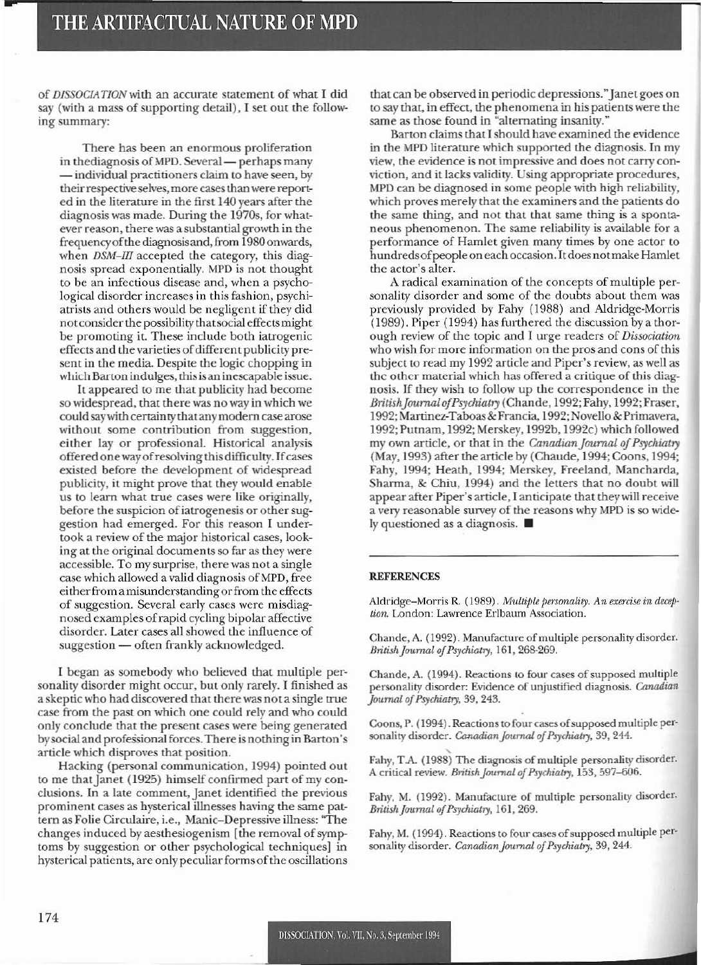of DISSOCIATION with an accurate statement of what I did say (with a mass of supporting detail), I set out the following summary:

There has been an enormous proliferation in thediagnosis of MPD. Several — perhaps many - individual practitioners claim to have seen, by their respective selves, more casesthan were reponed in the literature in the first 140 years after the diagnosis was made. During the 1970s, for whatever reason, there was asubstantial growth in the frequencyofthe diagnosis and, from 19SOonwards, when *DSM-III* accepted the category, this diagnosis spread exponentially. MPD is not thought to be an infectious disease and. when a psychological disorder increases in this fashion, psychiatrists and others would be negligem if they did not consider the possibility that social effects might be promoting it. These include both iatrogenic effects and the varieties of different publicity present in the media. Despite the logic chopping in which Barton indulges, this is an inescapable issue.

It appeared to me that publicity had become so widespread. that there was no way in which we could saywith certainty that anymodem case arose without some contribution from suggestion, either lay or professional. Historical analysis offered one wayofresolving this difficulty. Ifcases existed before the development of widespread publicity, it might prove that they would enable us to learn what true cases were like originally, before the suspicion of iatrogenesis or other suggestion had emerged. For this reason I undertook a review of the major historical cases, looking at the original documents so far as they were accessible. To my surprise, there was not a single case which allowed a valid diagnosis of MPD, free either from a misunderstanding or from the effects of suggestion. Several early cases were misdiagnosed examples ofrapid cycling bipolar affective disorder. Later cases all showed the influence of suggestion — often frankly acknowledged.

I began as somebody who believed that multiple per· sonality disorder might occur, hut only rarely. I finished as a skeptic who had discovered that there was not a single true case from the past on which one could rely and who could only conclude that the present cases were being generated by social and professional forces. There is nothing in Barton's article which disproves that position.

Hacking (personal communication, 1994) pointed out to me that Janet (1925) himself confirmed part of my conclusions. In a late comment, Janet identified the previous prominent cases as hysterical illnesses having the same pattern as Folie Circulaire, i.e., Manic-Depressive illness: "The changes induced by aesthesiogenism [the removal of symptoms by suggestion or other psychological techniques] in hysterical patients, are only peculiar forms of the oscillations

that can be observed in periodic depressions." Janet goes on to say that, in effect, the phenomena in his patients were the same as those found in "alternating insanity."

Barton claims that Ishould have examined the evidence in the MPD literature which supported the diagnosis. In my view, the evidence is not impressive and does not carry con· viction, and it lacks validity. Using appropriate procedures, MPD can be diagnosed in some people with high reliability, which proves merely that the examiners and the patients do the same thing, and not that that same thing is a spontaneous phenomenon. The same reliability is available for a performance of Hamlet given many times by one actor to hundredsofpeople on each occasion. Itdoes notmake Hamlet the actor's alter.

A radical examination of the concepts of multiple personality disorder and some of the doubts about them was previously provided by Fahy (1988) and Aldridge-Morris (1989). Piper (1994) has furthered the discussion by a thorough review of the topic and I urge readers of *Dissociation* who wish for more information on the pros and cons of this subject to read my 1992 article and Piper's review, as well as the other material which has offered a critique of this diagnosis. If they wish to follow up the correspondence in the British Journal of Psychiatry (Chande, 1992; Fahy, 1992; Fraser, ]992; Martincz-Taboas& Francia, 1992; Novello & Primavera, ]992; Putnam, ]992; Merskey, I992b, 1992c) which followed my own article, or that in the *Canadian Journal of Psychiatry* (May, 1993) after the article by (Chaude, 1994; Coons, 1994; Fahy, 1994; Heath, 1994; Merskey, Freeland, Mancharda, Sharma, & Chiu, 1994) and the letters that no doubt will appear after Piper's artide, I anticipate that theywill receive a very reasonable survey of the reasons why MPD is so widely questioned as a diagnosis.  $\blacksquare$ 

## REFERENCES

Aldridge-Morris R. (1989). *Multiple personality. An exercise in deception.* London: Lawrence Erlbaum Association.

Chande, A. (1992). Manufacture of multiple personality disorder. *British Journal of Psychiatry,* 161, 268-269.

Chande, A. (1994). Reactions to four cases of supposed multiple personality disorder: Evidence of unjustified diagnosis. *Canadian Journal of Psychiatry*, 39, 243.

Coons, P. (1994). Reactions to four cases of supposed multiple per-

sonality disorder. *Canadian Journal of Psychiatry*, 39, 244.<br>Fahy, T.A. (1988) The diagnosis of multiple personality disorder. A critical review. British Journal of Psychiatry, 153, 597-606.

Fahy, M. (1992). Manufacture of multiple personality disorder. *Britishjournal ofPsychiatry,* 161. 269.

Fahy, M. (1994). Reactions to four cases of supposed multiple personality disorder. *Canadian Journal of Psychiatry*, 39, 244.